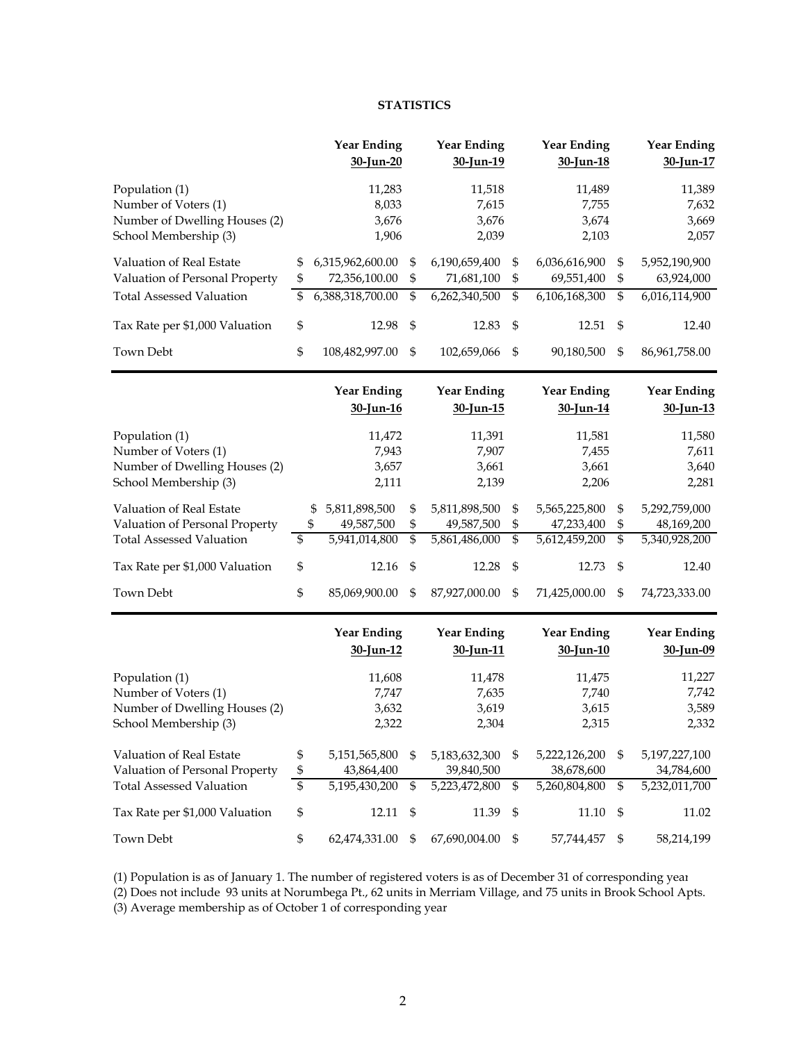#### **STATISTICS**

|                                 | <b>Year Ending</b>              | <b>Year Ending</b>              |                                               | <b>Year Ending</b>              |                            | <b>Year Ending</b>              |
|---------------------------------|---------------------------------|---------------------------------|-----------------------------------------------|---------------------------------|----------------------------|---------------------------------|
|                                 | 30-Jun-20                       | 30-Jun-19                       |                                               | 30-Jun-18                       |                            | 30-Jun-17                       |
| Population (1)                  | 11,283                          | 11,518                          |                                               | 11,489                          |                            | 11,389                          |
| Number of Voters (1)            | 8,033                           | 7,615                           |                                               | 7,755                           |                            | 7,632                           |
| Number of Dwelling Houses (2)   | 3,676                           | 3,676                           |                                               | 3,674                           |                            | 3,669                           |
| School Membership (3)           | 1,906                           | 2,039                           |                                               | 2,103                           |                            | 2,057                           |
| Valuation of Real Estate        | \$<br>6,315,962,600.00          | \$<br>6,190,659,400             | \$                                            | 6,036,616,900                   | \$                         | 5,952,190,900                   |
| Valuation of Personal Property  | \$<br>72,356,100.00             | \$<br>71,681,100                | \$                                            | 69,551,400                      | \$                         | 63,924,000                      |
| <b>Total Assessed Valuation</b> | \$<br>6,388,318,700.00          | \$<br>6,262,340,500             | \$                                            | 6,106,168,300                   | \$                         | 6,016,114,900                   |
| Tax Rate per \$1,000 Valuation  | \$<br>12.98                     | \$<br>12.83                     | \$                                            | 12.51                           | \$                         | 12.40                           |
| Town Debt                       | \$<br>108,482,997.00            | \$<br>102,659,066               | \$                                            | 90,180,500                      | \$                         | 86,961,758.00                   |
|                                 | <b>Year Ending</b><br>30-Jun-16 | <b>Year Ending</b><br>30-Jun-15 |                                               | <b>Year Ending</b><br>30-Jun-14 |                            | <b>Year Ending</b><br>30-Jun-13 |
| Population (1)                  | 11,472                          | 11,391                          |                                               | 11,581                          |                            | 11,580                          |
| Number of Voters (1)            | 7,943                           | 7,907                           |                                               | 7,455                           |                            | 7,611                           |
| Number of Dwelling Houses (2)   | 3,657                           | 3,661                           |                                               | 3,661                           |                            | 3,640                           |
| School Membership (3)           | 2,111                           | 2,139                           |                                               | 2,206                           |                            | 2,281                           |
| Valuation of Real Estate        | \$<br>5,811,898,500             | \$<br>5,811,898,500             | \$                                            | 5,565,225,800                   | \$                         | 5,292,759,000                   |
| Valuation of Personal Property  | \$<br>49,587,500                | \$<br>49,587,500                | \$                                            | 47,233,400                      | \$                         | 48,169,200                      |
| <b>Total Assessed Valuation</b> | \$<br>5,941,014,800             | \$<br>5,861,486,000             | \$                                            | 5,612,459,200                   | \$                         | 5,340,928,200                   |
| Tax Rate per \$1,000 Valuation  | \$<br>12.16                     | \$<br>12.28                     | $\boldsymbol{\mathsf{S}}$                     | 12.73                           | \$                         | 12.40                           |
| Town Debt                       | \$<br>85,069,900.00             | \$<br>87,927,000.00             | \$                                            | 71,425,000.00                   | \$                         | 74,723,333.00                   |
|                                 | <b>Year Ending</b><br>30-Jun-12 | <b>Year Ending</b><br>30-Jun-11 |                                               | <b>Year Ending</b><br>30-Jun-10 |                            | <b>Year Ending</b><br>30-Jun-09 |
| Population (1)                  | 11,608                          | 11,478                          |                                               | 11,475                          |                            | 11,227                          |
| Number of Voters (1)            | 7,747                           | 7,635                           |                                               | 7,740                           |                            | 7,742                           |
| Number of Dwelling Houses (2)   | 3,632                           | 3,619                           |                                               | 3,615                           |                            | 3,589                           |
| School Membership (3)           | 2,322                           | 2,304                           |                                               | 2,315                           |                            | 2,332                           |
| Valuation of Real Estate        | \$<br>5,151,565,800             | \$<br>5,183,632,300             | \$                                            | 5,222,126,200                   | \$                         | 5,197,227,100                   |
| Valuation of Personal Property  | \$<br>43,864,400                | 39,840,500                      |                                               | 38,678,600                      |                            | 34,784,600                      |
| <b>Total Assessed Valuation</b> | \$<br>5,195,430,200             | \$<br>5,223,472,800             | $\, \, \raisebox{12pt}{$\scriptstyle \circ$}$ | 5,260,804,800                   | $\boldsymbol{\mathsf{\$}}$ | 5,232,011,700                   |
| Tax Rate per \$1,000 Valuation  | \$<br>12.11                     | \$<br>11.39                     | $\mathbb{S}$                                  | 11.10                           | \$                         | 11.02                           |
| Town Debt                       | \$<br>62,474,331.00             | \$<br>67,690,004.00             | $\boldsymbol{\mathsf{\$}}$                    | 57,744,457                      | \$                         | 58,214,199                      |

(1) Population is as of January 1. The number of registered voters is as of December 31 of corresponding year

(2) Does not include 93 units at Norumbega Pt., 62 units in Merriam Village, and 75 units in Brook School Apts.

(3) Average membership as of October 1 of corresponding year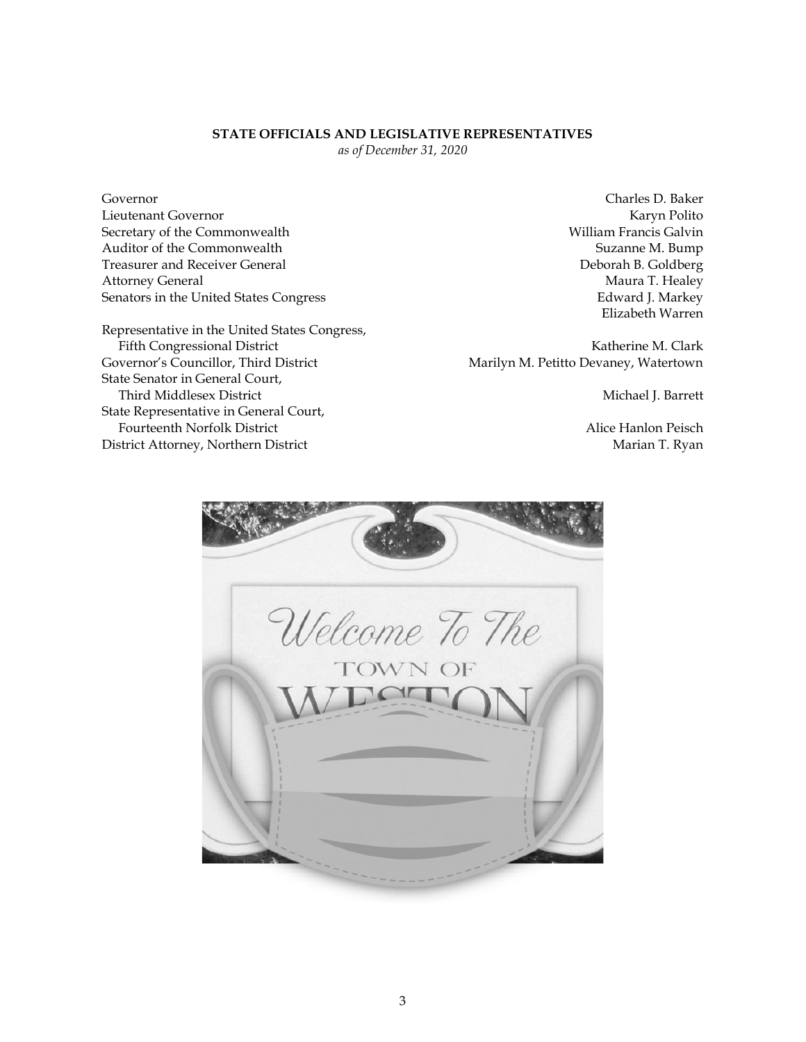#### **STATE OFFICIALS AND LEGISLATIVE REPRESENTATIVES**

*as of December 31, 2020*

Governor Charles D. Baker Lieutenant Governor Karyn Polito Secretary of the Commonwealth William Francis Galvin Auditor of the Commonwealth Suzanne M. Bump Treasurer and Receiver General **Deborah B. Goldberg** Deborah B. Goldberg Attorney General **Maura T. Healey** Senators in the United States Congress **Edward J. Markey** Edward J. Markey

Representative in the United States Congress, Fifth Congressional District **Katherine M. Clark** Katherine M. Clark Governor's Councillor, Third District Marilyn M. Petitto Devaney, Watertown State Senator in General Court, Third Middlesex District **Michael J. Barrett** Michael J. Barrett State Representative in General Court, Fourteenth Norfolk District **Alice Hanlon Peisch** Alice Hanlon Peisch District Attorney, Northern District Marian T. Ryan

Elizabeth Warren

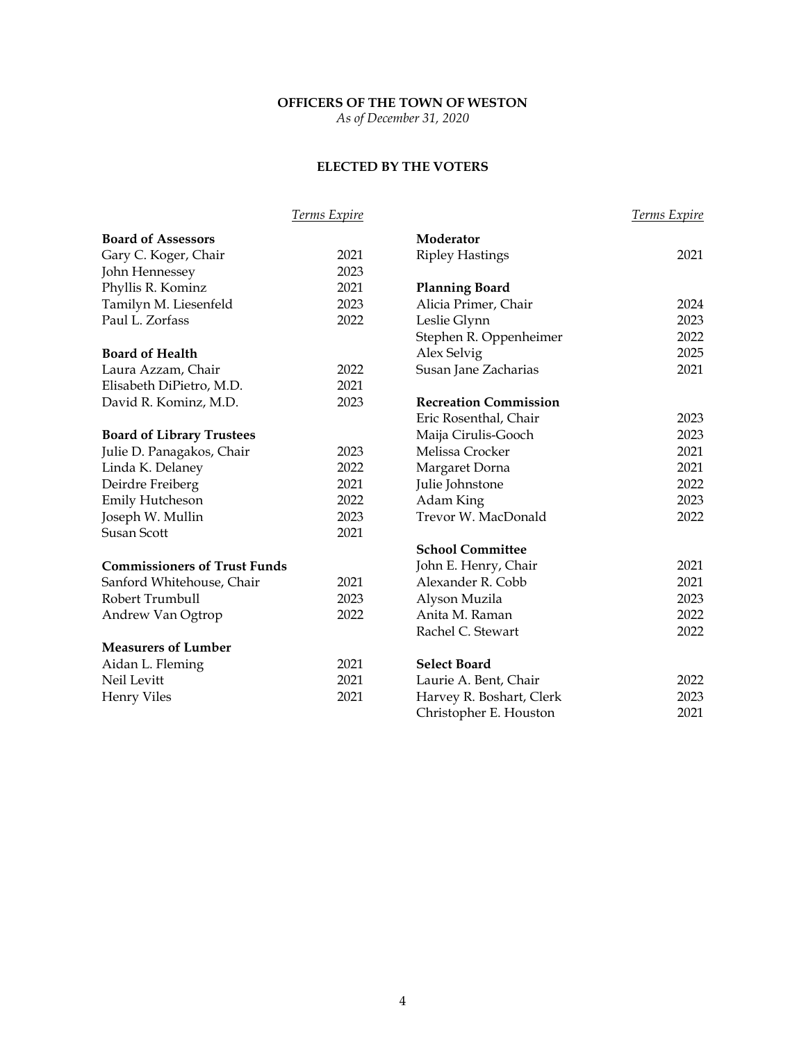# **OFFICERS OF THE TOWN OF WESTON**

*As of December 31, 2020*

## **ELECTED BY THE VOTERS**

|                                     | Terms Expire |                              | <b>Terms Expire</b> |
|-------------------------------------|--------------|------------------------------|---------------------|
| <b>Board of Assessors</b>           |              | Moderator                    |                     |
| Gary C. Koger, Chair                | 2021         | <b>Ripley Hastings</b>       | 2021                |
| John Hennessey                      | 2023         |                              |                     |
| Phyllis R. Kominz                   | 2021         | <b>Planning Board</b>        |                     |
| Tamilyn M. Liesenfeld               | 2023         | Alicia Primer, Chair         | 2024                |
| Paul L. Zorfass                     | 2022         | Leslie Glynn                 | 2023                |
|                                     |              | Stephen R. Oppenheimer       | 2022                |
| <b>Board of Health</b>              |              | Alex Selvig                  | 2025                |
| Laura Azzam, Chair                  | 2022         | Susan Jane Zacharias         | 2021                |
| Elisabeth DiPietro, M.D.            | 2021         |                              |                     |
| David R. Kominz, M.D.               | 2023         | <b>Recreation Commission</b> |                     |
|                                     |              | Eric Rosenthal, Chair        | 2023                |
| <b>Board of Library Trustees</b>    |              | Maija Cirulis-Gooch          | 2023                |
| Julie D. Panagakos, Chair           | 2023         | Melissa Crocker              | 2021                |
| Linda K. Delaney                    | 2022         | Margaret Dorna               | 2021                |
| Deirdre Freiberg                    | 2021         | Julie Johnstone              | 2022                |
| <b>Emily Hutcheson</b>              | 2022         | Adam King                    | 2023                |
| Joseph W. Mullin                    | 2023         | Trevor W. MacDonald          | 2022                |
| <b>Susan Scott</b>                  | 2021         |                              |                     |
|                                     |              | <b>School Committee</b>      |                     |
| <b>Commissioners of Trust Funds</b> |              | John E. Henry, Chair         | 2021                |
| Sanford Whitehouse, Chair           | 2021         | Alexander R. Cobb            | 2021                |
| Robert Trumbull                     | 2023         | Alyson Muzila                | 2023                |
| Andrew Van Ogtrop                   | 2022         | Anita M. Raman               | 2022                |
|                                     |              | Rachel C. Stewart            | 2022                |
| <b>Measurers of Lumber</b>          |              |                              |                     |
| Aidan L. Fleming                    | 2021         | <b>Select Board</b>          |                     |
| Neil Levitt                         | 2021         | Laurie A. Bent, Chair        | 2022                |
| <b>Henry Viles</b>                  | 2021         | Harvey R. Boshart, Clerk     | 2023                |
|                                     |              | Christopher E. Houston       | 2021                |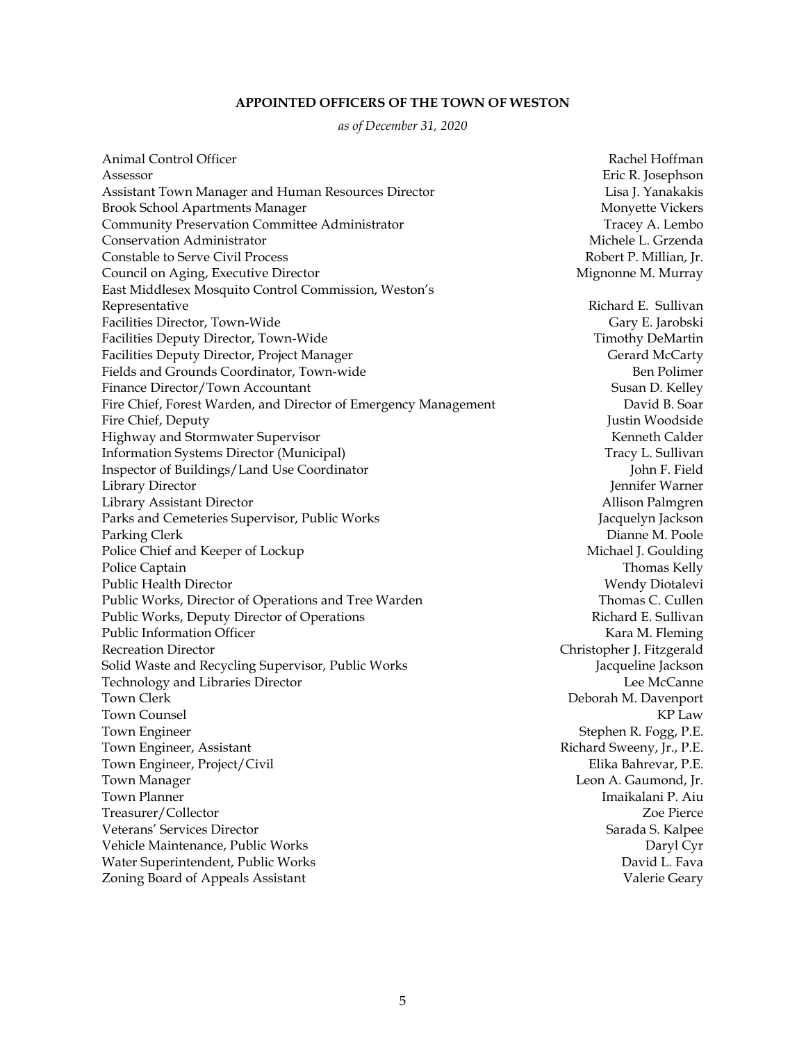#### **APPOINTED OFFICERS OF THE TOWN OF WESTON**

*as of December 31, 2020*

Animal Control Officer **Rachel Hoffman** Assessor Eric R. Josephson Assistant Town Manager and Human Resources Director **Lisa Lisa Learning Communist Communist** Lisa J. Yanakakis Brook School Apartments Manager Montager Monyette Vickers Community Preservation Committee Administrator Tracey A. Lembo Conservation Administrator **Michele L. Grzenda** Michele L. Grzenda Constable to Serve Civil Process **Robert P. Millian, Ir.** And The Robert P. Millian, Ir. Council on Aging, Executive Director **Mignonic Mignonic Mignonic Mignonic M**. Murray East Middlesex Mosquito Control Commission, Weston's Representative **Richard E. Sullivan** Facilities Director, Town-Wide Gary E. Jarobski Facilities Deputy Director, Town-Wide Timothy DeMartin Timothy DeMartin Facilities Deputy Director, Project Manager Gerard McCarty Gerard McCarty Fields and Grounds Coordinator, Town-wide **Benet and Struck and Struck and Struck** Ben Polimer Finance Director/Town Accountant Susan D. Kelley Fire Chief, Forest Warden, and Director of Emergency Management David B. Soar Fire Chief, Deputy Justin Woodside Highway and Stormwater Supervisor New York Calder New York School and Stormwater Supervisor New York Calder Information Systems Director (Municipal) Tracy L. Sullivan Inspector of Buildings/Land Use Coordinator **John F. Field** Library Director Jennifer Warner Library Assistant Director Allison Palmgren Parks and Cemeteries Supervisor, Public Works Jacquelyn Jackson Parking Clerk **Dianne M. Poole** Police Chief and Keeper of Lockup **Michael Access** Michael J. Goulding Police Captain Thomas Kelly Public Health Director **Wendy Distribution** Public Health Director Public Works, Director of Operations and Tree Warden Thomas C. Cullen Thomas C. Cullen Public Works, Deputy Director of Operations **Richard E. Sullivan** Richard E. Sullivan Public Information Officer **Kara M. Fleming Kara M. Fleming** Recreation Director **Christopher J. Fitzgerald** Solid Waste and Recycling Supervisor, Public Works **Solid Struggler Struggler** Jacqueline Jackson Technology and Libraries Director Lee McCanne Town Clerk **Deborah M. Davenport** Town Counsel KP Law Town Engineer Stephen R. Fogg, P.E. Town Engineer, Assistant **Richard Sweeny, Jr., P.E. Richard Sweeny, Jr., P.E.** Town Engineer, Project/Civil **Elika Bahrevar, P.E.** Town Manager Leon A. Gaumond, Jr. **Town Planner** Imaikalani P. Aiu Treasurer/Collector Zoe Pierce Veterans' Services Director Sarada S. Kalpee Vehicle Maintenance, Public Works Daryl Cyr Water Superintendent, Public Works **David L. Fava** David L. Fava Zoning Board of Appeals Assistant Valerie Geary Valerie Geary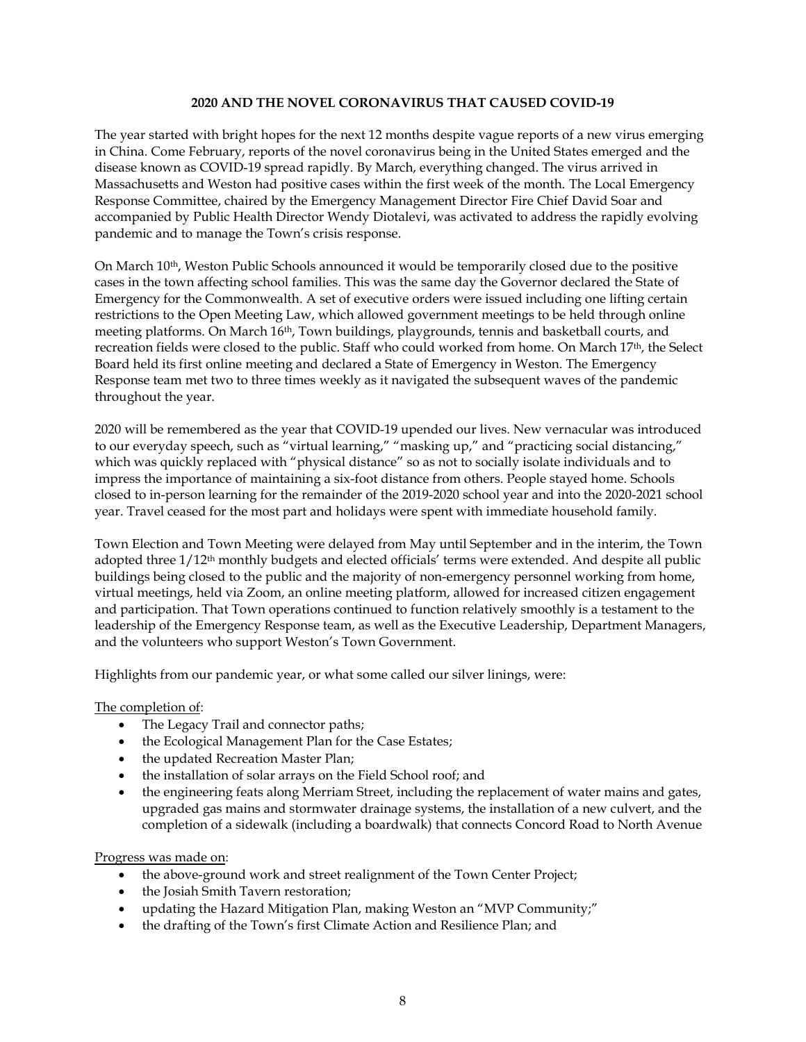#### **2020 AND THE NOVEL CORONAVIRUS THAT CAUSED COVID-19**

The year started with bright hopes for the next 12 months despite vague reports of a new virus emerging in China. Come February, reports of the novel coronavirus being in the United States emerged and the disease known as COVID-19 spread rapidly. By March, everything changed. The virus arrived in Massachusetts and Weston had positive cases within the first week of the month. The Local Emergency Response Committee, chaired by the Emergency Management Director Fire Chief David Soar and accompanied by Public Health Director Wendy Diotalevi, was activated to address the rapidly evolving pandemic and to manage the Town's crisis response.

On March 10<sup>th</sup>, Weston Public Schools announced it would be temporarily closed due to the positive cases in the town affecting school families. This was the same day the Governor declared the State of Emergency for the Commonwealth. A set of executive orders were issued including one lifting certain restrictions to the Open Meeting Law, which allowed government meetings to be held through online meeting platforms. On March 16th, Town buildings, playgrounds, tennis and basketball courts, and recreation fields were closed to the public. Staff who could worked from home. On March 17th, the Select Board held its first online meeting and declared a State of Emergency in Weston. The Emergency Response team met two to three times weekly as it navigated the subsequent waves of the pandemic throughout the year.

2020 will be remembered as the year that COVID-19 upended our lives. New vernacular was introduced to our everyday speech, such as "virtual learning," "masking up," and "practicing social distancing," which was quickly replaced with "physical distance" so as not to socially isolate individuals and to impress the importance of maintaining a six-foot distance from others. People stayed home. Schools closed to in-person learning for the remainder of the 2019-2020 school year and into the 2020-2021 school year. Travel ceased for the most part and holidays were spent with immediate household family.

Town Election and Town Meeting were delayed from May until September and in the interim, the Town adopted three  $1/12<sup>th</sup>$  monthly budgets and elected officials' terms were extended. And despite all public buildings being closed to the public and the majority of non-emergency personnel working from home, virtual meetings, held via Zoom, an online meeting platform, allowed for increased citizen engagement and participation. That Town operations continued to function relatively smoothly is a testament to the leadership of the Emergency Response team, as well as the Executive Leadership, Department Managers, and the volunteers who support Weston's Town Government.

Highlights from our pandemic year, or what some called our silver linings, were:

#### The completion of:

- The Legacy Trail and connector paths;
- the Ecological Management Plan for the Case Estates;
- the updated Recreation Master Plan;
- the installation of solar arrays on the Field School roof; and
- the engineering feats along Merriam Street, including the replacement of water mains and gates, upgraded gas mains and stormwater drainage systems, the installation of a new culvert, and the completion of a sidewalk (including a boardwalk) that connects Concord Road to North Avenue

#### Progress was made on:

- the above-ground work and street realignment of the Town Center Project;
- the Josiah Smith Tavern restoration;
- updating the Hazard Mitigation Plan, making Weston an "MVP Community;"
- the drafting of the Town's first Climate Action and Resilience Plan; and